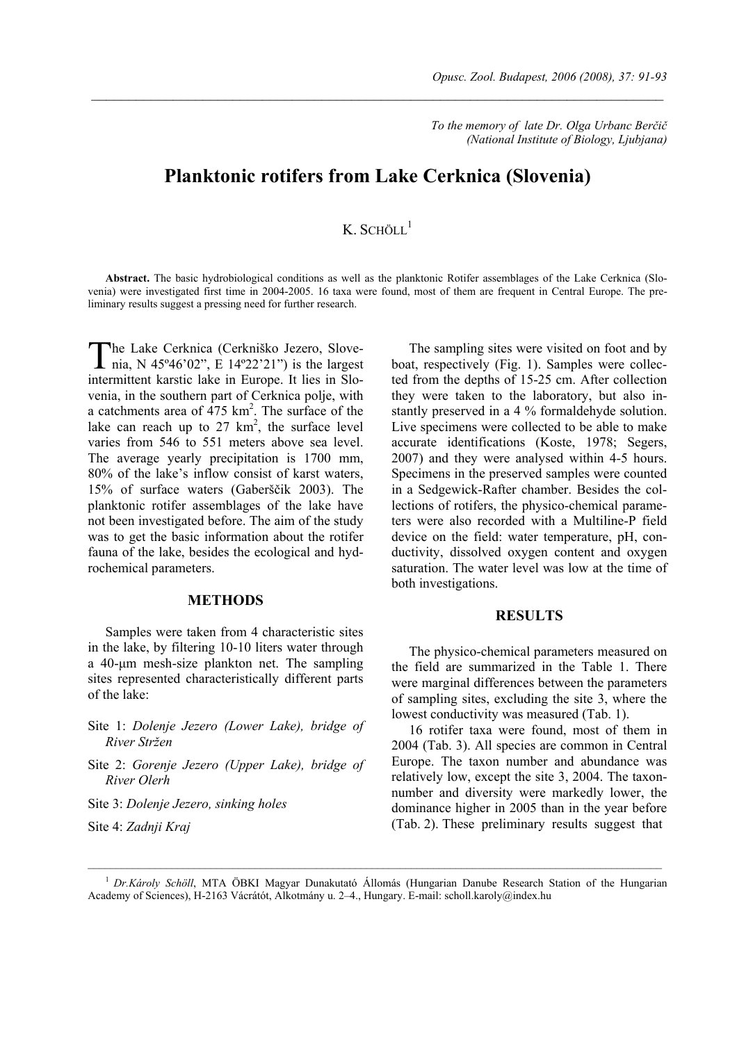*To the memory of late Dr. Olga Urbanc Berčič (National Institute of Biology, Ljubjana)* 

# **Planktonic rotifers from Lake Cerknica (Slovenia)**

 $\_$  , and the contribution of the contribution of the contribution of the contribution of  $\mathcal{L}_\text{max}$ 

## $K$  SCHÖLL<sup>1</sup>

**Abstract.** The basic hydrobiological conditions as well as the planktonic Rotifer assemblages of the Lake Cerknica (Slovenia) were investigated first time in 2004-2005. 16 taxa were found, most of them are frequent in Central Europe. The preliminary results suggest a pressing need for further research.

he Lake Cerknica (Cerkniško Jezero, Slove-The Lake Cerknica (Cerkniško Jezero, Slove-<br>nia, N 45°46'02", E 14°22'21") is the largest intermittent karstic lake in Europe. It lies in Slovenia, in the southern part of Cerknica polje, with a catchments area of  $475 \text{ km}^2$ . The surface of the lake can reach up to  $27 \text{ km}^2$ , the surface level varies from 546 to 551 meters above sea level. The average yearly precipitation is 1700 mm, 80% of the lake's inflow consist of karst waters, 15% of surface waters (Gaberščik 2003). The planktonic rotifer assemblages of the lake have not been investigated before. The aim of the study was to get the basic information about the rotifer fauna of the lake, besides the ecological and hydrochemical parameters.

#### **METHODS**

Samples were taken from 4 characteristic sites in the lake, by filtering 10-10 liters water through a 40-µm mesh-size plankton net. The sampling sites represented characteristically different parts of the lake:

- Site 1: *Dolenje Jezero (Lower Lake), bridge of River Stržen*
- Site 2: *Gorenje Jezero (Upper Lake), bridge of River Olerh*

Site 3: *Dolenje Jezero, sinking holes*

Site 4: *Zadnji Kraj*

The sampling sites were visited on foot and by boat, respectively (Fig. 1). Samples were collected from the depths of 15-25 cm. After collection they were taken to the laboratory, but also instantly preserved in a 4 % formaldehyde solution. Live specimens were collected to be able to make accurate identifications (Koste, 1978; Segers, 2007) and they were analysed within 4-5 hours. Specimens in the preserved samples were counted in a Sedgewick-Rafter chamber. Besides the collections of rotifers, the physico-chemical parameters were also recorded with a Multiline-P field device on the field: water temperature, pH, conductivity, dissolved oxygen content and oxygen saturation. The water level was low at the time of both investigations.

#### **RESULTS**

The physico-chemical parameters measured on the field are summarized in the Table 1. There were marginal differences between the parameters of sampling sites, excluding the site 3, where the lowest conductivity was measured (Tab. 1).

16 rotifer taxa were found, most of them in 2004 (Tab. 3). All species are common in Central Europe. The taxon number and abundance was relatively low, except the site 3, 2004. The taxonnumber and diversity were markedly lower, the dominance higher in 2005 than in the year before (Tab. 2). These preliminary results suggest that

<sup>1</sup>*Dr.Károly Schöll*, MTA ÖBKI Magyar Dunakutató Állomás (Hungarian Danube Research Station of the Hungarian Academy of Sciences), H-2163 Vácrátót, Alkotmány u. 2–4., Hungary. E-mail: scholl.karoly@index.hu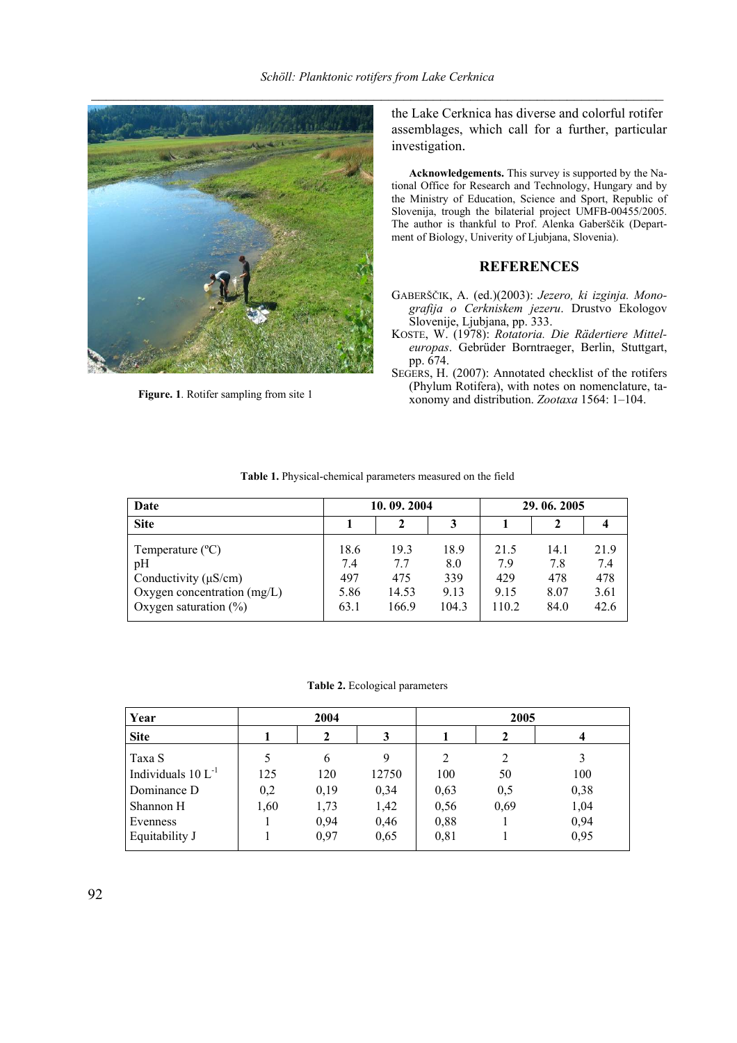

**Figure. 1**. Rotifer sampling from site 1

the Lake Cerknica has diverse and colorful rotifer assemblages, which call for a further, particular investigation.

**Acknowledgements.** This survey is supported by the National Office for Research and Technology, Hungary and by the Ministry of Education, Science and Sport, Republic of Slovenija, trough the bilaterial project UMFB-00455/2005. The author is thankful to Prof. Alenka Gaberščik (Department of Biology, Univerity of Ljubjana, Slovenia).

### **REFERENCES**

- GABERŠČIK, A. (ed.)(2003): *Jezero, ki izginja. Monografija o Cerkniskem jezeru*. Drustvo Ekologov Slovenije, Ljubjana, pp. 333.
- KOSTE, W. (1978): *Rotatoria. Die Rädertiere Mitteleuropas*. Gebrüder Borntraeger, Berlin, Stuttgart, pp. 674.
- SEGERS, H. (2007): Annotated checklist of the rotifers (Phylum Rotifera), with notes on nomenclature, taxonomy and distribution. *Zootaxa* 1564: 1–104.

| Date                          |      | 10.09.2004 |       |       | 29, 06, 2005 |      |  |
|-------------------------------|------|------------|-------|-------|--------------|------|--|
| <b>Site</b>                   |      |            |       |       |              |      |  |
| Temperature $(^{\circ}C)$     | 18.6 | 19.3       | 18.9  | 21.5  | 14.1         | 21.9 |  |
| pH                            | 7.4  | 7.7        | 8.0   | 79    | 7.8          | 74   |  |
| Conductivity $(\mu S/cm)$     | 497  | 475        | 339   | 429   | 478          | 478  |  |
| Oxygen concentration $(mg/L)$ | 5.86 | 14.53      | 9.13  | 9.15  | 8.07         | 3.61 |  |
| Oxygen saturation $(\% )$     | 63.1 | 166.9      | 104.3 | 110.2 | 84.0         | 42.6 |  |

**Table 1.** Physical-chemical parameters measured on the field

**Table 2.** Ecological parameters

| Year                    |      | 2004 |       | 2005 |      |      |  |
|-------------------------|------|------|-------|------|------|------|--|
| <b>Site</b>             |      | 2    |       |      |      |      |  |
| Taxa S                  |      | 6    | 9     | 2    | 2    | 3    |  |
| Individuals $10 L^{-1}$ | 125  | 120  | 12750 | 100  | 50   | 100  |  |
| Dominance D             | 0,2  | 0,19 | 0,34  | 0,63 | 0,5  | 0,38 |  |
| Shannon H               | 1,60 | 1,73 | 1,42  | 0,56 | 0,69 | 1,04 |  |
| Evenness                |      | 0,94 | 0,46  | 0,88 |      | 0,94 |  |
| Equitability J          |      | 0,97 | 0,65  | 0,81 |      | 0,95 |  |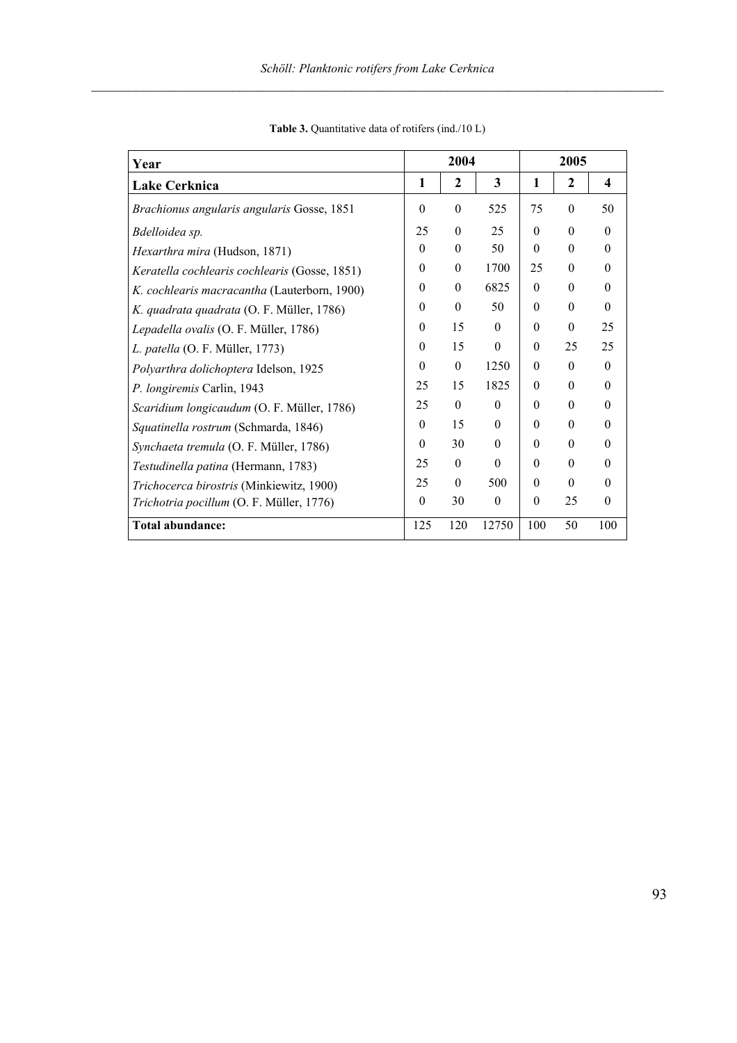| Year                                          | 2004     |                  | 2005     |          |          |                         |
|-----------------------------------------------|----------|------------------|----------|----------|----------|-------------------------|
| <b>Lake Cerknica</b>                          | 1        | $\mathbf{2}$     | 3        | 1        | 2        | $\overline{\mathbf{4}}$ |
| Brachionus angularis angularis Gosse, 1851    | $\theta$ | $\boldsymbol{0}$ | 525      | 75       | $\theta$ | 50                      |
| Bdelloidea sp.                                | 25       | $\theta$         | 25       | $\theta$ | $\theta$ | $\Omega$                |
| Hexarthra mira (Hudson, 1871)                 | $\theta$ | $\theta$         | 50       | $\Omega$ | $\Omega$ | $\Omega$                |
| Keratella cochlearis cochlearis (Gosse, 1851) | $\theta$ | $\theta$         | 1700     | 25       | $\theta$ | $\theta$                |
| K. cochlearis macracantha (Lauterborn, 1900)  | $\theta$ | $\theta$         | 6825     | $\theta$ | $\theta$ | $\theta$                |
| K. quadrata quadrata (O. F. Müller, 1786)     | $\theta$ | $\theta$         | 50       | $\Omega$ | $\theta$ | $\theta$                |
| Lepadella ovalis (O. F. Müller, 1786)         | $\theta$ | 15               | $\theta$ | $\theta$ | $\theta$ | 25                      |
| L. patella (O. F. Müller, 1773)               | $\theta$ | 15               | $\theta$ | $\theta$ | 25       | 25                      |
| Polyarthra dolichoptera Idelson, 1925         | $\theta$ | $\theta$         | 1250     | $\theta$ | $\theta$ | $\Omega$                |
| P. longiremis Carlin, 1943                    | 25       | 15               | 1825     | $\Omega$ | $\Omega$ | $\Omega$                |
| Scaridium longicaudum (O. F. Müller, 1786)    | 25       | $\theta$         | $\theta$ | $\Omega$ | $\Omega$ | $\theta$                |
| Squatinella rostrum (Schmarda, 1846)          | $\theta$ | 15               | $\theta$ | $\Omega$ | $\theta$ | $\theta$                |
| Synchaeta tremula (O. F. Müller, 1786)        | $\theta$ | 30               | $\theta$ | $\theta$ | $\theta$ | $\theta$                |
| Testudinella patina (Hermann, 1783)           | 25       | $\theta$         | $\theta$ | $\Omega$ | $\theta$ | $\theta$                |
| Trichocerca birostris (Minkiewitz, 1900)      | 25       | $\theta$         | 500      | $\theta$ | $\theta$ | $\theta$                |
| Trichotria pocillum (O. F. Müller, 1776)      | $\theta$ | 30               | $\theta$ | $\Omega$ | 25       | $\theta$                |
| <b>Total abundance:</b>                       | 125      | 120              | 12750    | 100      | 50       | 100                     |

**Table 3.** Quantitative data of rotifers (ind./10 L)